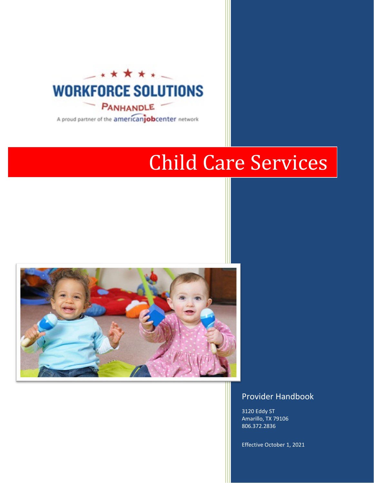

A proud partner of the americanjobcenter network

# Child Care Services



# Provider Handbook

3120 Eddy ST Amarillo, TX 79106 806.372.2836

Effective October 1, 2021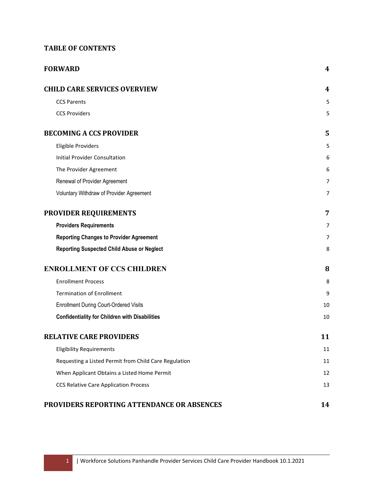# **TABLE OF CONTENTS**

| <b>FORWARD</b>                                        | 4                |
|-------------------------------------------------------|------------------|
| <b>CHILD CARE SERVICES OVERVIEW</b>                   | $\boldsymbol{4}$ |
| <b>CCS Parents</b>                                    | 5                |
| <b>CCS Providers</b>                                  | 5                |
| <b>BECOMING A CCS PROVIDER</b>                        | 5                |
| <b>Eligible Providers</b>                             | 5                |
| <b>Initial Provider Consultation</b>                  | 6                |
| The Provider Agreement                                | 6                |
| Renewal of Provider Agreement                         | $\overline{7}$   |
| Voluntary Withdraw of Provider Agreement              | $\overline{7}$   |
| PROVIDER REQUIREMENTS                                 | 7                |
| <b>Providers Requirements</b>                         | $\overline{7}$   |
| <b>Reporting Changes to Provider Agreement</b>        | $\overline{7}$   |
| <b>Reporting Suspected Child Abuse or Neglect</b>     | 8                |
| <b>ENROLLMENT OF CCS CHILDREN</b>                     | 8                |
| <b>Enrollment Process</b>                             | 8                |
| <b>Termination of Enrollment</b>                      | 9                |
| <b>Enrollment During Court-Ordered Visits</b>         | 10               |
| <b>Confidentiality for Children with Disabilities</b> | 10               |
| <b>RELATIVE CARE PROVIDERS</b>                        | 11               |
| <b>Eligibility Requirements</b>                       | 11               |
| Requesting a Listed Permit from Child Care Regulation | 11               |
| When Applicant Obtains a Listed Home Permit           | 12               |
| <b>CCS Relative Care Application Process</b>          | 13               |
| PROVIDERS REPORTING ATTENDANCE OR ABSENCES            | 14               |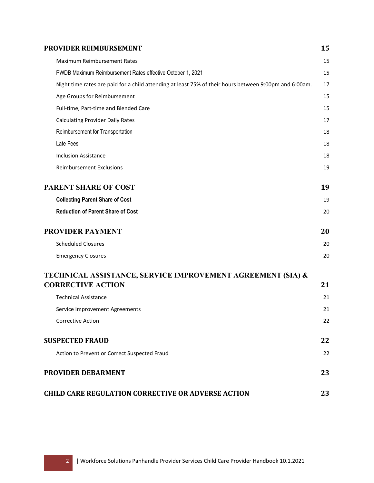| <b>PROVIDER REIMBURSEMENT</b>                                                                          | 15 |
|--------------------------------------------------------------------------------------------------------|----|
| <b>Maximum Reimbursement Rates</b>                                                                     | 15 |
| PWDB Maximum Reimbursement Rates effective October 1, 2021                                             | 15 |
| Night time rates are paid for a child attending at least 75% of their hours between 9:00pm and 6:00am. | 17 |
| Age Groups for Reimbursement                                                                           | 15 |
| Full-time, Part-time and Blended Care                                                                  | 15 |
| <b>Calculating Provider Daily Rates</b>                                                                | 17 |
| Reimbursement for Transportation                                                                       | 18 |
| Late Fees                                                                                              | 18 |
| <b>Inclusion Assistance</b>                                                                            | 18 |
| <b>Reimbursement Exclusions</b>                                                                        | 19 |
| <b>PARENT SHARE OF COST</b>                                                                            | 19 |
| <b>Collecting Parent Share of Cost</b>                                                                 | 19 |
| <b>Reduction of Parent Share of Cost</b>                                                               | 20 |
| <b>PROVIDER PAYMENT</b>                                                                                | 20 |
| <b>Scheduled Closures</b>                                                                              | 20 |
| <b>Emergency Closures</b>                                                                              | 20 |
| TECHNICAL ASSISTANCE, SERVICE IMPROVEMENT AGREEMENT (SIA) &                                            |    |
| <b>CORRECTIVE ACTION</b>                                                                               | 21 |
| <b>Technical Assistance</b>                                                                            | 21 |
| Service Improvement Agreements                                                                         | 21 |
| <b>Corrective Action</b>                                                                               | 22 |
| <b>SUSPECTED FRAUD</b>                                                                                 | 22 |
| Action to Prevent or Correct Suspected Fraud                                                           | 22 |
| PROVIDER DEBARMENT                                                                                     | 23 |
| <b>CHILD CARE REGULATION CORRECTIVE OR ADVERSE ACTION</b>                                              | 23 |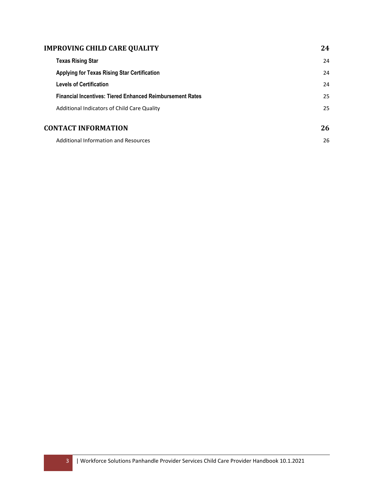| <b>IMPROVING CHILD CARE QUALITY</b>                              | 24 |
|------------------------------------------------------------------|----|
| <b>Texas Rising Star</b>                                         | 24 |
| <b>Applying for Texas Rising Star Certification</b>              | 24 |
| <b>Levels of Certification</b>                                   | 24 |
| <b>Financial Incentives: Tiered Enhanced Reimbursement Rates</b> | 25 |
| Additional Indicators of Child Care Quality                      | 25 |
| <b>CONTACT INFORMATION</b>                                       | 26 |
| <b>Additional Information and Resources</b>                      | 26 |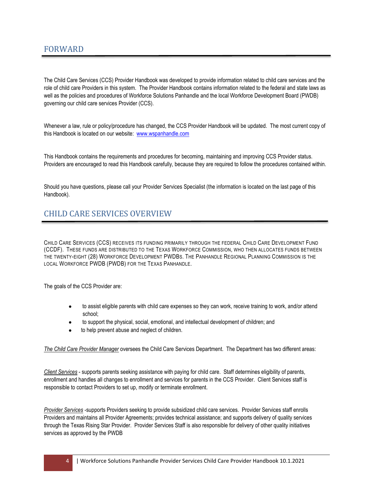<span id="page-4-0"></span>The Child Care Services (CCS) Provider Handbook was developed to provide information related to child care services and the role of child care Providers in this system. The Provider Handbook contains information related to the federal and state laws as well as the policies and procedures of Workforce Solutions Panhandle and the local Workforce Development Board (PWDB) governing our child care services Provider (CCS).

Whenever a law, rule or policy/procedure has changed, the CCS Provider Handbook will be updated. The most current copy of this Handbook is located on our website: [www.wspanhandle.com](http://www.wspanhandle.com/)

This Handbook contains the requirements and procedures for becoming, maintaining and improving CCS Provider status. Providers are encouraged to read this Handbook carefully, because they are required to follow the procedures contained within.

Should you have questions, please call your Provider Services Specialist (the information is located on the last page of this Handbook).

# <span id="page-4-1"></span>CHILD CARE SERVICES OVERVIEW

CHILD CARE SERVICES (CCS) RECEIVES ITS FUNDING PRIMARILY THROUGH THE FEDERAL CHILD CARE DEVELOPMENT FUND (CCDF). THESE FUNDS ARE DISTRIBUTED TO THE TEXAS WORKFORCE COMMISSION, WHO THEN ALLOCATES FUNDS BETWEEN THE TWENTY-EIGHT (28) WORKFORCE DEVELOPMENT PWDBS. THE PANHANDLE REGIONAL PLANNING COMMISSION IS THE LOCAL WORKFORCE PWDB (PWDB) FOR THE TEXAS PANHANDLE.

The goals of the CCS Provider are:

- to assist eligible parents with child care expenses so they can work, receive training to work, and/or attend school;
- to support the physical, social, emotional, and intellectual development of children; and
- to help prevent abuse and neglect of children.

*The Child Care Provider Manager* oversees the Child Care Services Department. The Department has two different areas:

*Client Services* - supports parents seeking assistance with paying for child care. Staff determines eligibility of parents, enrollment and handles all changes to enrollment and services for parents in the CCS Provider. Client Services staff is responsible to contact Providers to set up, modify or terminate enrollment.

*Provider Services* -supports Providers seeking to provide subsidized child care services. Provider Services staff enrolls Providers and maintains all Provider Agreements; provides technical assistance; and supports delivery of quality services through the Texas Rising Star Provider. Provider Services Staff is also responsible for delivery of other quality initiatives services as approved by the PWDB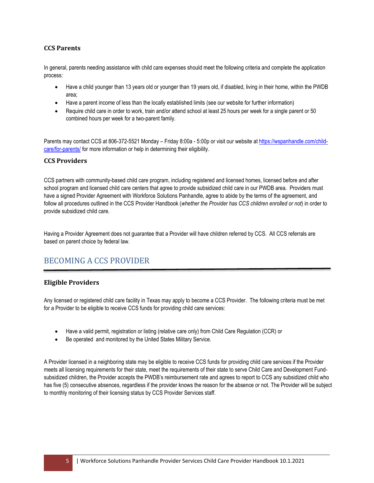# <span id="page-5-0"></span>**CCS Parents**

In general, parents needing assistance with child care expenses should meet the following criteria and complete the application process:

- Have a child younger than 13 years old or younger than 19 years old, if disabled, living in their home, within the PWDB area;
- Have a parent income of less than the locally established limits (see our website for further information)
- Require child care in order to work, train and/or attend school at least 25 hours per week for a single parent or 50 combined hours per week for a two-parent family.

Parents may contact CCS at 806-372-5521 Monday – Friday 8:00a - 5:00p or visit our website a[t https://wspanhandle.com/child](https://wspanhandle.com/child-care/for-parents/)[care/for-parents/](https://wspanhandle.com/child-care/for-parents/) for more information or help in determining their eligibility.

## <span id="page-5-1"></span>**CCS Providers**

CCS partners with community-based child care program, including registered and licensed homes, licensed before and after school program and licensed child care centers that agree to provide subsidized child care in our PWDB area. Providers must have a signed Provider Agreement with Workforce Solutions Panhandle, agree to abide by the terms of the agreement, and follow all procedures outlined in the CCS Provider Handbook (*whether the Provider has CCS children enrolled or not*) in order to provide subsidized child care.

Having a Provider Agreement does not guarantee that a Provider will have children referred by CCS. All CCS referrals are based on parent choice by federal law.

# <span id="page-5-2"></span>BECOMING A CCS PROVIDER

## <span id="page-5-3"></span>**Eligible Providers**

Any licensed or registered child care facility in Texas may apply to become a CCS Provider. The following criteria must be met for a Provider to be eligible to receive CCS funds for providing child care services:

- Have a valid permit, registration or listing (relative care only) from Child Care Regulation (CCR) or
- Be operated and monitored by the United States Military Service.

A Provider licensed in a neighboring state may be eligible to receive CCS funds for providing child care services if the Provider meets all licensing requirements for their state, meet the requirements of their state to serve Child Care and Development Fundsubsidized children, the Provider accepts the PWDB's reimbursement rate and agrees to report to CCS any subsidized child who has five (5) consecutive absences, regardless if the provider knows the reason for the absence or not. The Provider will be subject to monthly monitoring of their licensing status by CCS Provider Services staff.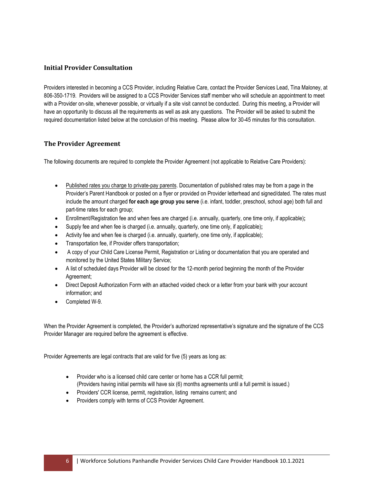# <span id="page-6-0"></span>**Initial Provider Consultation**

Providers interested in becoming a CCS Provider, including Relative Care, contact the Provider Services Lead, Tina Maloney, at 806-350-1719. Providers will be assigned to a CCS Provider Services staff member who will schedule an appointment to meet with a Provider on-site, whenever possible, or virtually if a site visit cannot be conducted. During this meeting, a Provider will have an opportunity to discuss all the requirements as well as ask any questions. The Provider will be asked to submit the required documentation listed below at the conclusion of this meeting. Please allow for 30-45 minutes for this consultation.

# <span id="page-6-1"></span>**The Provider Agreement**

The following documents are required to complete the Provider Agreement (not applicable to Relative Care Providers):

- Published rates you charge to private-pay parents. Documentation of published rates may be from a page in the Provider's Parent Handbook or posted on a flyer or provided on Provider letterhead and signed/dated. The rates must include the amount charged **for each age group you serve** (i.e. infant, toddler, preschool, school age) both full and part-time rates for each group;
- Enrollment/Registration fee and when fees are charged (i.e. annually, quarterly, one time only, if applicable)**;**
- Supply fee and when fee is charged (i.e. annually, quarterly, one time only, if applicable)**;**
- Activity fee and when fee is charged (i.e. annually, quarterly, one time only, if applicable);
- Transportation fee, if Provider offers transportation;
- A copy of your Child Care License Permit, Registration or Listing or documentation that you are operated and monitored by the United States Military Service;
- A list of scheduled days Provider will be closed for the 12-month period beginning the month of the Provider Agreement;
- Direct Deposit Authorization Form with an attached voided check or a letter from your bank with your account information; and
- Completed W-9.

When the Provider Agreement is completed, the Provider's authorized representative's signature and the signature of the CCS Provider Manager are required before the agreement is effective.

Provider Agreements are legal contracts that are valid for five (5) years as long as:

- Provider who is a licensed child care center or home has a CCR full permit: (Providers having initial permits will have six (6) months agreements until a full permit is issued.)
- Providers' CCR license, permit, registration, listing remains current; and
- Providers comply with terms of CCS Provider Agreement.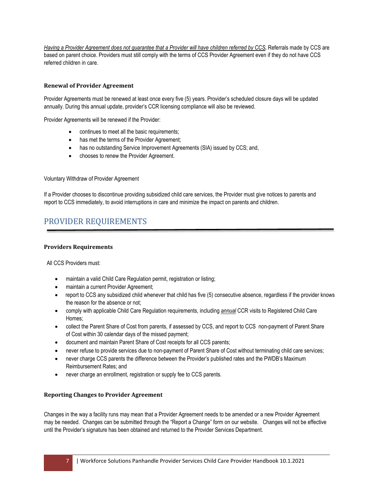*Having a Provider Agreement does not guarantee that a Provider will have children referred by CCS***.** Referrals made by CCS are based on parent choice. Providers must still comply with the terms of CCS Provider Agreement even if they do not have CCS referred children in care.

# <span id="page-7-0"></span>**Renewal of Provider Agreement**

Provider Agreements must be renewed at least once every five (5) years. Provider's scheduled closure days will be updated annually. During this annual update, provider's CCR licensing compliance will also be reviewed.

Provider Agreements will be renewed if the Provider:

- continues to meet all the basic requirements;
- has met the terms of the Provider Agreement;
- has no outstanding Service Improvement Agreements (SIA) issued by CCS; and,
- chooses to renew the Provider Agreement.

<span id="page-7-1"></span>Voluntary Withdraw of Provider Agreement

If a Provider chooses to discontinue providing subsidized child care services, the Provider must give notices to parents and report to CCS immediately, to avoid interruptions in care and minimize the impact on parents and children.

# <span id="page-7-2"></span>PROVIDER REQUIREMENTS

#### <span id="page-7-3"></span>**Providers Requirements**

All CCS Providers must:

- maintain a valid Child Care Regulation permit, registration or listing;
- maintain a current Provider Agreement;
- report to CCS any subsidized child whenever that child has five (5) consecutive absence, regardless if the provider knows the reason for the absence or not;
- comply with applicable Child Care Regulation requirements, including *annual* CCR visits to Registered Child Care Homes;
- collect the Parent Share of Cost from parents, if assessed by CCS, and report to CCS non-payment of Parent Share of Cost within 30 calendar days of the missed payment;
- document and maintain Parent Share of Cost receipts for all CCS parents;
- never refuse to provide services due to non-payment of Parent Share of Cost without terminating child care services;
- never charge CCS parents the difference between the Provider's published rates and the PWDB's Maximum Reimbursement Rates; and
- never charge an enrollment, registration or supply fee to CCS parents.

#### <span id="page-7-4"></span>**Reporting Changes to Provider Agreement**

Changes in the way a facility runs may mean that a Provider Agreement needs to be amended or a new Provider Agreement may be needed. Changes can be submitted through the "Report a Change" form on our website.Changes will not be effective until the Provider's signature has been obtained and returned to the Provider Services Department.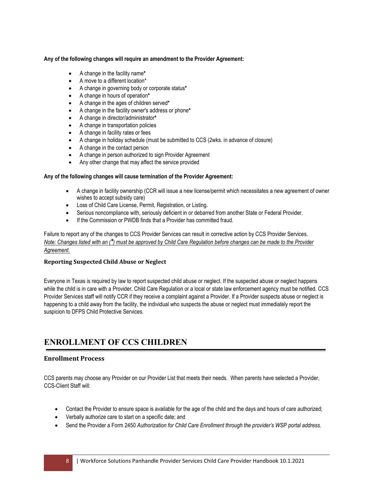#### **Any of the following changes will require an amendment to the Provider Agreement:**

- A change in the facility name**\***
- A move to a different location\*
- A change in governing body or corporate status**\***
- A change in hours of operation**\***
- A change in the ages of children served**\***
- A change in the facility owner's address or phone**\***
- A change in director/administrator**\***
- A change in transportation policies
- A change in facility rates or fees
- A change in holiday schedule (must be submitted to CCS (2wks. in advance of closure)
- A change in the contact person
- A change in person authorized to sign Provider Agreement
- Any other change that may affect the service provided

#### **Any of the following changes will cause termination of the Provider Agreement:**

- A change in facility ownership (CCR will issue a new license/permit which necessitates a new agreement of owner wishes to accept subsidy care)
- Loss of Child Care License, Permit, Registration, or Listing.
- Serious noncompliance with, seriously deficient in or debarred from another State or Federal Provider.
- If the Commission or PWDB finds that a Provider has committed fraud.

Failure to report any of the changes to CCS Provider Services can result in corrective action by CCS Provider Services. *Note: Changes listed with an (\*) must be approved by Child Care Regulation before changes can be made to the Provider Agreement.*

#### <span id="page-8-0"></span>**Reporting Suspected Child Abuse or Neglect**

Everyone in Texas is required by law to report suspected child abuse or neglect. If the suspected abuse or neglect happens while the child is in care with a Provider, Child Care Regulation or a local or state law enforcement agency must be notified. CCS Provider Services staff will notify CCR if they receive a complaint against a Provider. If a Provider suspects abuse or neglect is happening to a child away from the facility, the individual who suspects the abuse or neglect must immediately report the suspicion to DFPS Child Protective Services.

# <span id="page-8-1"></span>**ENROLLMENT OF CCS CHILDREN**

## <span id="page-8-2"></span>**Enrollment Process**

CCS parents may choose any Provider on our Provider List that meets their needs. When parents have selected a Provider, CCS-Client Staff will:

- Contact the Provider to ensure space is available for the age of the child and the days and hours of care authorized;
- Verbally authorize care to start on a specific date; and
- Send the Provider a Form 2450 *Authorization for Child Care Enrollment through the provider's WSP portal address.*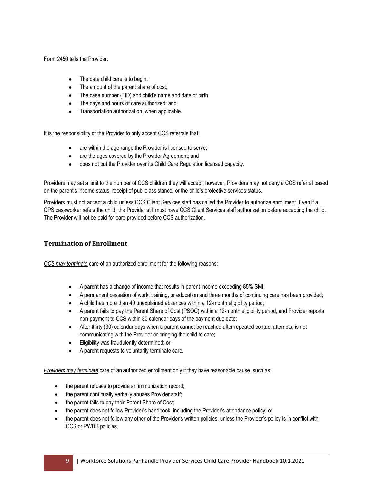Form 2450 tells the Provider:

- The date child care is to begin;
- The amount of the parent share of cost;
- The case number (TID) and child's name and date of birth
- The days and hours of care authorized; and
- Transportation authorization, when applicable.

It is the responsibility of the Provider to only accept CCS referrals that:

- are within the age range the Provider is licensed to serve;
- are the ages covered by the Provider Agreement; and
- does not put the Provider over its Child Care Regulation licensed capacity.

Providers may set a limit to the number of CCS children they will accept; however, Providers may not deny a CCS referral based on the parent's income status, receipt of public assistance, or the child's protective services status.

Providers must not accept a child unless CCS Client Services staff has called the Provider to authorize enrollment. Even if a CPS caseworker refers the child, the Provider still must have CCS Client Services staff authorization before accepting the child. The Provider will not be paid for care provided before CCS authorization.

# <span id="page-9-0"></span>**Termination of Enrollment**

*CCS may terminate* care of an authorized enrollment for the following reasons:

- A parent has a change of income that results in parent income exceeding 85% SMI;
- A permanent cessation of work, training, or education and three months of continuing care has been provided;
- A child has more than 40 unexplained absences within a 12-month eligibility period;
- A parent fails to pay the Parent Share of Cost (PSOC) within a 12-month eligibility period, and Provider reports non-payment to CCS within 30 calendar days of the payment due date;
- After thirty (30) calendar days when a parent cannot be reached after repeated contact attempts, is not communicating with the Provider or bringing the child to care;
- Eligibility was fraudulently determined; or
- A parent requests to voluntarily terminate care.

*Providers may terminate* care of an authorized enrollment only if they have reasonable cause, such as:

- the parent refuses to provide an immunization record;
- the parent continually verbally abuses Provider staff;
- the parent fails to pay their Parent Share of Cost;
- the parent does not follow Provider's handbook, including the Provider's attendance policy; or
- the parent does not follow any other of the Provider's written policies, unless the Provider's policy is in conflict with CCS or PWDB policies.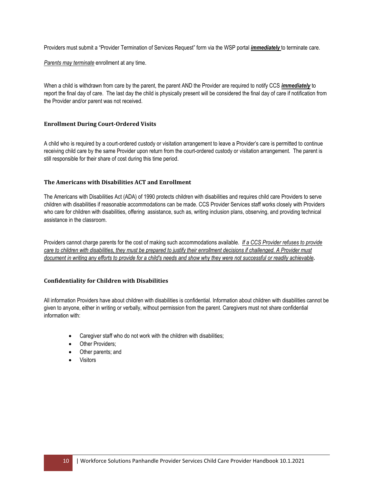Providers must submit a "Provider Termination of Services Request" form via the WSP portal *immediately* to terminate care.

*Parents may terminate* enrollment at any time.

When a child is withdrawn from care by the parent, the parent AND the Provider are required to notify CCS *immediately* to report the final day of care. The last day the child is physically present will be considered the final day of care if notification from the Provider and/or parent was not received.

#### <span id="page-10-0"></span>**Enrollment During Court-Ordered Visits**

A child who is required by a court-ordered custody or visitation arrangement to leave a Provider's care is permitted to continue receiving child care by the same Provider upon return from the court-ordered custody or visitation arrangement. The parent is still responsible for their share of cost during this time period.

#### **The Americans with Disabilities ACT and Enrollment**

The Americans with Disabilities Act (ADA) of 1990 protects children with disabilities and requires child care Providers to serve children with disabilities if reasonable accommodations can be made. CCS Provider Services staff works closely with Providers who care for children with disabilities, offering assistance, such as, writing inclusion plans, observing, and providing technical assistance in the classroom.

Providers cannot charge parents for the cost of making such accommodations available. *If a CCS Provider refuses to provide care to children with disabilities, they must be prepared to justify their enrollment decisions if challenged. A Provider must document in writing any efforts to provide for a child's needs and show why they were not successful or readily achievable***.**

## <span id="page-10-1"></span>**Confidentiality for Children with Disabilities**

All information Providers have about children with disabilities is confidential. Information about children with disabilities cannot be given to anyone, either in writing or verbally, without permission from the parent. Caregivers must not share confidential information with:

- Caregiver staff who do not work with the children with disabilities;
- Other Providers;
- Other parents; and
- **Visitors**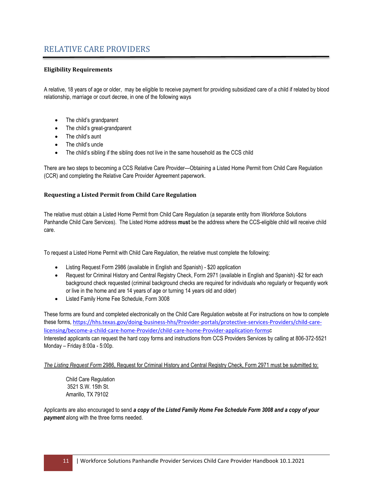# <span id="page-11-0"></span>RELATIVE CARE PROVIDERS

## <span id="page-11-1"></span>**Eligibility Requirements**

A relative, 18 years of age or older, may be eligible to receive payment for providing subsidized care of a child if related by blood relationship, marriage or court decree, in one of the following ways

- The child's grandparent
- The child's great-grandparent
- The child's aunt
- The child's uncle
- The child's sibling if the sibling does not live in the same household as the CCS child

There are two steps to becoming a CCS Relative Care Provider—Obtaining a Listed Home Permit from Child Care Regulation (CCR) and completing the Relative Care Provider Agreement paperwork.

#### <span id="page-11-2"></span>**Requesting a Listed Permit from Child Care Regulation**

The relative must obtain a Listed Home Permit from Child Care Regulation (a separate entity from Workforce Solutions Panhandle Child Care Services). The Listed Home address **must** be the address where the CCS-eligible child will receive child care.

To request a Listed Home Permit with Child Care Regulation, the relative must complete the following:

- Listing Request Form 2986 (available in English and Spanish) \$20 application
- Request for Criminal History and Central Registry Check, Form 2971 (available in English and Spanish) -\$2 for each background check requested (criminal background checks are required for individuals who regularly or frequently work or live in the home and are 14 years of age or turning 14 years old and older)
- Listed Family Home Fee Schedule, Form 3008

These forms are found and completed electronically on the Child Care Regulation website at For instructions on how to complete these forms, [https://hhs.texas.gov/doing-business-hhs/Provider-portals/protective-services-Providers/child-care](https://hhs.texas.gov/doing-business-hhs/provider-portals/protective-services-providers/child-care-licensing/become-a-child-care-home-provider/child-care-home-provider-application-forms)[licensing/become-a-child-care-home-Provider/child-care-home-Provider-application-forms](https://hhs.texas.gov/doing-business-hhs/provider-portals/protective-services-providers/child-care-licensing/become-a-child-care-home-provider/child-care-home-provider-application-forms)c Interested applicants can request the hard copy forms and instructions from CCS Providers Services by calling at 806-372-5521 Monday – Friday 8:00a - 5:00p.

*The Listing Request Form* 2986, Request for Criminal History and Central Registry Check, Form 2971 must be submitted to:

Child Care Regulation 3521 S.W. 15th St. Amarillo, TX 79102

Applicants are also encouraged to send *a copy of the Listed Family Home Fee Schedule Form 3008 and a copy of your payment* along with the three forms needed.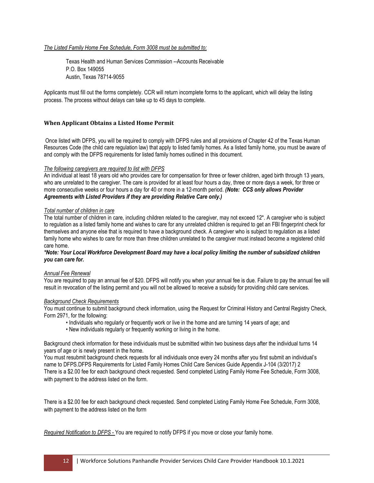#### *The Listed Family Home Fee Schedule, Form 3008 must be submitted to:*

Texas Health and Human Services Commission --Accounts Receivable P.O. Box 149055 Austin, Texas 78714-9055

Applicants must fill out the forms completely. CCR will return incomplete forms to the applicant, which will delay the listing process. The process without delays can take up to 45 days to complete.

#### <span id="page-12-0"></span>**When Applicant Obtains a Listed Home Permit**

Once listed with DFPS, you will be required to comply with DFPS rules and all provisions of Chapter 42 of the Texas Human Resources Code (the child care regulation law) that apply to listed family homes. As a listed family home, you must be aware of and comply with the DFPS requirements for listed family homes outlined in this document.

#### *The following caregivers are required to list with DFPS*

An individual at least 18 years old who provides care for compensation for three or fewer children, aged birth through 13 years, who are unrelated to the caregiver. The care is provided for at least four hours a day, three or more days a week, for three or more consecutive weeks or four hours a day for 40 or more in a 12-month period. *(Note: CCS only allows Provider Agreements with Listed Providers if they are providing Relative Care only.)*

#### *Total number of children in care*

The total number of children in care, including children related to the caregiver, may not exceed 12\*. A caregiver who is subject to regulation as a listed family home and wishes to care for any unrelated children is required to get an FBI fingerprint check for themselves and anyone else that is required to have a background check. A caregiver who is subject to regulation as a listed family home who wishes to care for more than three children unrelated to the caregiver must instead become a registered child care home.

#### *\*Note: Your Local Workforce Development Board may have a local policy limiting the number of subsidized children you can care for.*

#### *Annual Fee Renewal*

You are required to pay an annual fee of \$20. DFPS will notify you when your annual fee is due. Failure to pay the annual fee will result in revocation of the listing permit and you will not be allowed to receive a subsidy for providing child care services.

#### *Background Check Requirements*

You must continue to submit background check information, using the Request for Criminal History and Central Registry Check, Form 2971, for the following:

- Individuals who regularly or frequently work or live in the home and are turning 14 years of age; and
- New individuals regularly or frequently working or living in the home.

Background check information for these individuals must be submitted within two business days after the individual turns 14 years of age or is newly present in the home.

You must resubmit background check requests for all individuals once every 24 months after you first submit an individual's name to DFPS.DFPS Requirements for Listed Family Homes Child Care Services Guide Appendix J-104 (3/2017) 2 There is a \$2.00 fee for each background check requested. Send completed Listing Family Home Fee Schedule, Form 3008, with payment to the address listed on the form.

There is a \$2.00 fee for each background check requested. Send completed Listing Family Home Fee Schedule, Form 3008, with payment to the address listed on the form

*Required Notification to DFPS -* You are required to notify DFPS if you move or close your family home.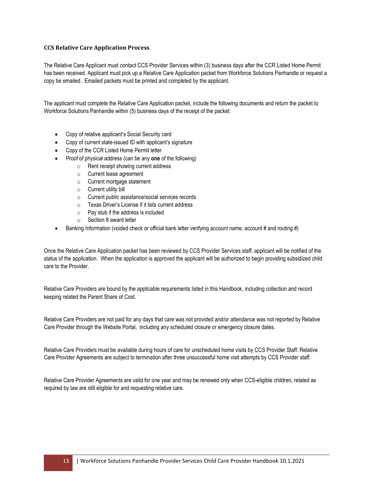#### <span id="page-13-0"></span>**CCS Relative Care Application Process**

The Relative Care Applicant must contact CCS Provider Services within (3) business days after the CCR Listed Home Permit has been received. Applicant must pick up a Relative Care Application packet from Workforce Solutions Panhandle or request a copy be emailed. Emailed packets must be printed and completed by the applicant.

The applicant must complete the Relative Care Application packet, include the following documents and return the packet to Workforce Solutions Panhandle within (5) business days of the receipt of the packet:

- Copy of relative applicant's Social Security card
- Copy of current state-issued ID with applicant's signature
- Copy of the CCR Listed Home Permit letter
- Proof of physical address (can be any **one** of the following)
	- o Rent receipt showing current address
	- o Current lease agreement
	- o Current mortgage statement
	- o Current utility bill
	- o Current public assistance/social services records
	- o Texas Driver's License if it lists current address
	- o Pay stub if the address is included
	- o Section 8 award letter
- Banking Information (voided check or official bank letter verifying account name, account # and routing #)

Once the Relative Care Application packet has been reviewed by CCS Provider Services staff, applicant will be notified of the status of the application. When the application is approved the applicant will be authorized to begin providing subsidized child care to the Provider.

Relative Care Providers are bound by the applicable requirements listed in this Handbook, including collection and record keeping related the Parent Share of Cost.

Relative Care Providers are not paid for any days that care was not provided and/or attendance was not reported by Relative Care Provider through the Website Portal, including any scheduled closure or emergency closure dates.

Relative Care Providers must be available during hours of care for unscheduled home visits by CCS Provider Staff. Relative Care Provider Agreements are subject to termination after three unsuccessful home visit attempts by CCS Provider staff.

Relative Care Provider Agreements are valid for one year and may be renewed only when CCS-eligible children, related as required by law are still eligible for and requesting relative care.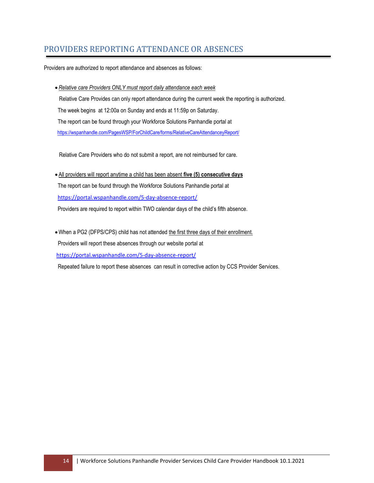# <span id="page-14-0"></span>PROVIDERS REPORTING ATTENDANCE OR ABSENCES

Providers are authorized to report attendance and absences as follows:

•*Relative care Providers ONLY must report daily attendance each week*  Relative Care Provides can only report attendance during the current week the reporting is authorized. The week begins at 12:00a on Sunday and ends at 11:59p on Saturday. The report can be found through your Workforce Solutions Panhandle portal at <https://wspanhandle.com/PagesWSP/ForChildCare/forms/RelativeCareAttendanceyReport/>

Relative Care Providers who do not submit a report, are not reimbursed for care.

• All providers will report anytime a child has been absent **five (5) consecutive days** The report can be found through the Workforce Solutions Panhandle portal at <https://portal.wspanhandle.com/5-day-absence-report/> Providers are required to report within TWO calendar days of the child's fifth absence.

•When a PG2 (DFPS/CPS) child has not attended the first three days of their enrollment. Providers will report these absences through our website portal at <https://portal.wspanhandle.com/5-day-absence-report/>

<span id="page-14-1"></span>Repeated failure to report these absences can result in corrective action by CCS Provider Services.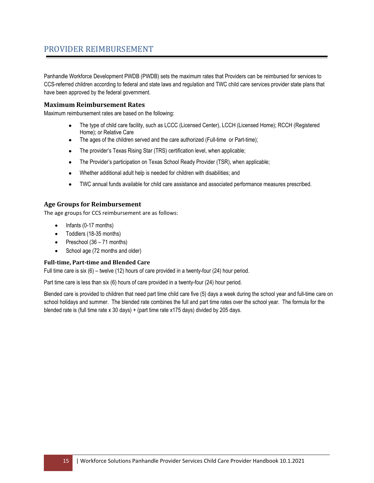# PROVIDER REIMBURSEMENT

Panhandle Workforce Development PWDB (PWDB) sets the maximum rates that Providers can be reimbursed for services to CCS-referred children according to federal and state laws and regulation and TWC child care services provider state plans that have been approved by the federal government.

## <span id="page-15-0"></span>**Maximum Reimbursement Rates**

Maximum reimbursement rates are based on the following:

- The type of child care facility, such as LCCC (Licensed Center), LCCH (Licensed Home); RCCH (Registered Home); or Relative Care
- The ages of the children served and the care authorized (Full-time or Part-time);
- The provider's Texas Rising Star (TRS) certification level, when applicable;
- The Provider's participation on Texas School Ready Provider (TSR), when applicable;
- Whether additional adult help is needed for children with disabilities; and
- TWC annual funds available for child care assistance and associated performance measures prescribed.

## <span id="page-15-2"></span><span id="page-15-1"></span>**Age Groups for Reimbursement**

The age groups for CCS reimbursement are as follows:

- Infants (0-17 months)
- Toddlers (18-35 months)
- Preschool (36 71 months)
- School age (72 months and older)

#### <span id="page-15-3"></span>**Full-time, Part-time and Blended Care**

Full time care is six (6) – twelve (12) hours of care provided in a twenty-four (24) hour period.

Part time care is less than six (6) hours of care provided in a twenty-four (24) hour period.

Blended care is provided to children that need part time child care five (5) days a week during the school year and full-time care on school holidays and summer. The blended rate combines the full and part time rates over the school year. The formula for the blended rate is (full time rate x 30 days) + (part time rate x175 days) divided by 205 days.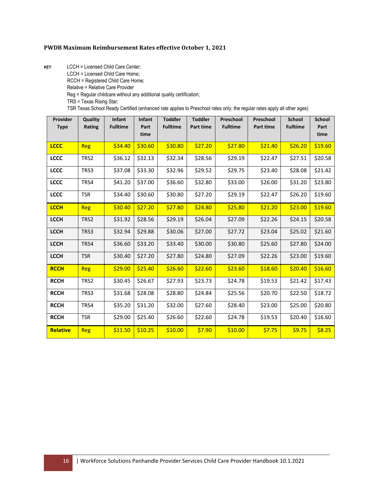#### **PWDB Maximum Reimbursement Rates effective October 1, 2021**

**KEY**: LCCH = Licensed Child Care Center;

LCCH = Licensed Child Care Home;

RCCH = Registered Child Care Home;

Relative = Relative Care Provider

Reg = Regular childcare without any additional quality certification;

TRS = Texas Rising Star;

TSR Texas School Ready Certified (enhanced rate applies to Preschool rates only; the regular rates apply all other ages)

| Provider        | Quality    | Infant          | Infant       | <b>Toddler</b>  | <b>Toddler</b> | Preschool       | Preschool | <b>School</b>   | <b>School</b> |
|-----------------|------------|-----------------|--------------|-----------------|----------------|-----------------|-----------|-----------------|---------------|
| <b>Type</b>     | Rating     | <b>Fulltime</b> | Part<br>time | <b>Fulltime</b> | Part time      | <b>Fulltime</b> | Part time | <b>Fulltime</b> | Part<br>time  |
| <b>LCCC</b>     | Reg        | \$34.40         | \$30.60      | \$30.80         | \$27.20        | \$27.80         | \$21.40   | \$26.20         | \$19.60       |
| <b>LCCC</b>     | TRS2       | \$36.12         | \$32.13      | \$32.34         | \$28.56        | \$29.19         | \$22.47   | \$27.51         | \$20.58       |
| <b>LCCC</b>     | TRS3       | \$37.08         | \$33.30      | \$32.96         | \$29.52        | \$29.75         | \$23.40   | \$28.08         | \$21.42       |
| <b>LCCC</b>     | TRS4       | \$41.20         | \$37.00      | \$36.60         | \$32.80        | \$33.00         | \$26.00   | \$31.20         | \$23.80       |
| <b>LCCC</b>     | <b>TSR</b> | \$34.40         | \$30.60      | \$30.80         | \$27.20        | \$29.19         | \$22.47   | \$26.20         | \$19.60       |
| <b>LCCH</b>     | Reg        | \$30.40         | \$27.20      | \$27.80         | \$24.80        | \$25.80         | \$21.20   | \$23.00         | \$19.60       |
| <b>LCCH</b>     | TRS2       | \$31.92         | \$28.56      | \$29.19         | \$26.04        | \$27.09         | \$22.26   | \$24.15         | \$20.58       |
| <b>LCCH</b>     | TRS3       | \$32.94         | \$29.88      | \$30.06         | \$27.00        | \$27.72         | \$23.04   | \$25.02         | \$21.60       |
| <b>LCCH</b>     | TRS4       | \$36.60         | \$33.20      | \$33.40         | \$30.00        | \$30.80         | \$25.60   | \$27.80         | \$24.00       |
| <b>LCCH</b>     | <b>TSR</b> | \$30.40         | \$27.20      | \$27.80         | \$24.80        | \$27.09         | \$22.26   | \$23.00         | \$19.60       |
| <b>RCCH</b>     | <b>Reg</b> | \$29.00         | \$25.40      | \$26.60         | \$22.60        | \$23.60         | \$18.60   | \$20.40         | \$16.60       |
| <b>RCCH</b>     | TRS2       | \$30.45         | \$26.67      | \$27.93         | \$23.73        | \$24.78         | \$19.53   | \$21.42         | \$17.43       |
| <b>RCCH</b>     | TRS3       | \$31.68         | \$28.08      | \$28.80         | \$24.84        | \$25.56         | \$20.70   | \$22.50         | \$18.72       |
| <b>RCCH</b>     | TRS4       | \$35.20         | \$31.20      | \$32.00         | \$27.60        | \$28.40         | \$23.00   | \$25.00         | \$20.80       |
| <b>RCCH</b>     | <b>TSR</b> | \$29.00         | \$25.40      | \$26.60         | \$22.60        | \$24.78         | \$19.53   | \$20.40         | \$16.60       |
| <b>Relative</b> | <b>Reg</b> | \$11.50         | \$10.25      | \$10.00         | \$7.90         | \$10.00         | \$7.75    | \$9.75          | \$8.25        |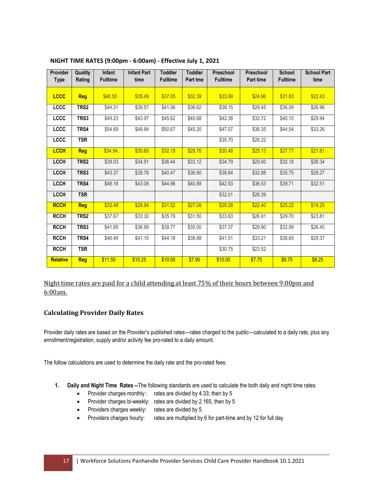| Provider<br><b>Type</b> | Quality<br>Rating | <b>Infant</b><br><b>Fulltime</b> | <b>Infant Part</b><br>time | <b>Toddler</b><br><b>Fulltime</b> | <b>Toddler</b><br><b>Part tme</b> | Preschool<br><b>Fulltime</b> | Preschool<br><b>Part time</b> | <b>School</b><br><b>Fulltime</b> | <b>School Part</b><br>time |
|-------------------------|-------------------|----------------------------------|----------------------------|-----------------------------------|-----------------------------------|------------------------------|-------------------------------|----------------------------------|----------------------------|
|                         |                   |                                  |                            |                                   |                                   |                              |                               |                                  |                            |
| <b>LCCC</b>             | <b>Reg</b>        | \$40.50                          | \$35.49                    | \$37.05                           | \$32.39                           | \$33.99                      | \$24.96                       | \$31.83                          | \$22.43                    |
| <b>LCCC</b>             | TRS2              | \$44.31                          | \$39.57                    | \$41.06                           | \$36.62                           | \$38.15                      | \$29.45                       | \$36.09                          | \$26.96                    |
| LCCC                    | TRS3              | \$49.23                          | \$43.97                    | \$45.62                           | \$40.68                           | \$42.38                      | \$32.72                       | \$40.10                          | \$29.94                    |
| LCCC                    | TRS4              | \$54.69                          | \$48.84                    | \$50.67                           | \$45.20                           | \$47.07                      | \$36.35                       | \$44.54                          | \$33.26                    |
| LCCC                    | <b>TSR</b>        |                                  |                            |                                   |                                   | \$35.70                      | \$26.22                       |                                  |                            |
| <b>LCCH</b>             | <b>Reg</b>        | \$34.94.                         | \$30.60                    | \$32.19                           | \$28.76                           | \$30.48                      | \$25.13                       | \$27.77                          | \$21.81                    |
| <b>LCCH</b>             | TRS2              | \$39.03                          | \$34.91                    | \$36.44                           | \$33.12                           | \$34.79                      | \$29.60                       | \$32.18                          | \$26.34                    |
| LCCH                    | TRS3              | \$43.37                          | \$38.78                    | \$40.47                           | \$36.80                           | \$38.64                      | \$32.88                       | \$35.75                          | \$29.27                    |
| <b>LCCH</b>             | TRS4              | \$48.18                          | \$43.08                    | \$44.96                           | \$40.88                           | \$42.93                      | \$36.53                       | \$39.71                          | \$32.51                    |
| <b>LCCH</b>             | <b>TSR</b>        |                                  |                            |                                   |                                   | \$32.01                      | \$26.39                       |                                  |                            |
| <b>RCCH</b>             | <b>Reg</b>        | \$33.48                          | \$28.94                    | \$31.52                           | \$27.08                           | \$29.28                      | \$22.40                       | \$25.22                          | \$19.25                    |
| <b>RCCH</b>             | TRS <sub>2</sub>  | \$37.67                          | \$33.30                    | \$35.79                           | \$31.50                           | \$33.63                      | \$26.91                       | \$29.70                          | \$23.81                    |
| <b>RCCH</b>             | TRS3              | \$41.85                          | \$36.99                    | \$39.77                           | \$35.00                           | \$37.37                      | \$29.90                       | \$32.99                          | \$26.45                    |
| <b>RCCH</b>             | TRS4              | \$46.49                          | \$41.10                    | \$44.18                           | \$38.88                           | \$41.51                      | \$33.21                       | \$36.65                          | \$29.37                    |
| <b>RCCH</b>             | <b>TSR</b>        |                                  |                            |                                   |                                   | \$30.75                      | \$23.52                       |                                  |                            |
| <b>Relative</b>         | <b>Req</b>        | \$11.50                          | \$10.25                    | \$10.00                           | \$7.90                            | \$10.00                      | \$7.75                        | \$9.75                           | \$8.25                     |

#### **NIGHT TIME RATES (9:00pm - 6:00am) - Effective July 1, 2021**

<span id="page-17-0"></span>Night time rates are paid for a child attending at least 75% of their hours between 9:00pm and 6:00am.

## <span id="page-17-1"></span>**Calculating Provider Daily Rates**

Provider daily rates are based on the Provider's published rates—rates charged to the public—calculated to a daily rate, plus any enrollment/registration, supply and/or activity fee pro-rated to a daily amount.

The follow calculations are used to determine the daily rate and the pro-rated fees:

- **1. Daily and Night Time Rates --**The following standards are used to calculate the both daily and night time rates:
	- Provider charges monthly : rates are divided by 4.33; then by 5
	- Provider charges bi-weekly: rates are divided by 2.165, then by 5
	- Providers charges weekly: rates are divided by 5
	- Providers charges hourly: rates are multiplied by 6 for part-time and by 12 for full day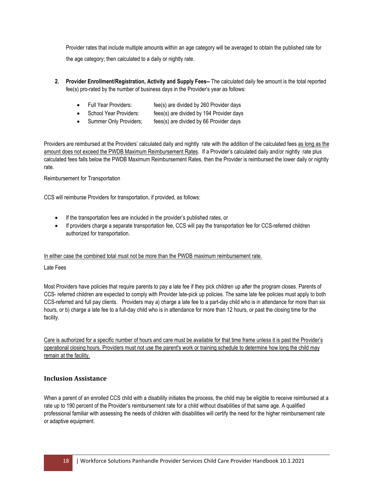Provider rates that include multiple amounts within an age category will be averaged to obtain the published rate for the age category; then calculated to a daily or nightly rate.

- **2. Provider Enrollment/Registration, Activity and Supply Fees--** The calculated daily fee amount is the total reported fee(s) pro-rated by the number of business days in the Provider's year as follows:
	- Full Year Providers: fee(s) are divided by 260 Provider days
	- School Year Providers: fees(s) are divided by 194 Provider days
	- Summer Only Providers; fees(s) are divided by 66 Provider days

Providers are reimbursed at the Providers' calculated daily and nightly rate with the addition of the calculated fees as long as the amount does not exceed the PWDB Maximum Reimbursement Rates. If a Provider's calculated daily and/or nightly rate plus calculated fees falls below the PWDB Maximum Reimbursement Rates, then the Provider is reimbursed the lower daily or nightly rate.

<span id="page-18-0"></span>Reimbursement for Transportation

CCS will reimburse Providers for transportation, if provided, as follows:

- If the transportation fees are included in the provider's published rates, or
- If providers charge a separate transportation fee, CCS will pay the transportation fee for CCS-referred children authorized for transportation.

#### In either case the combined total must not be more than the PWDB maximum reimbursement rate.

<span id="page-18-1"></span>Late Fees

Most Providers have policies that require parents to pay a late fee if they pick children up after the program closes. Parents of CCS- referred children are expected to comply with Provider late-pick up policies. The same late fee policies must apply to both CCS-referred and full pay clients. Providers may a) charge a late fee to a part-day child who is in attendance for more than six hours, or b) charge a late fee to a full-day child who is in attendance for more than 12 hours, or past the closing time for the facility.

Care is authorized for a specific number of hours and care must be available for that time frame unless it is past the Provider's operational closing hours. Providers must not use the parent's work or training schedule to determine how long the child may remain at the facility.

## <span id="page-18-2"></span>**Inclusion Assistance**

When a parent of an enrolled CCS child with a disability initiates the process, the child may be eligible to receive reimbursed at a rate up to 190 percent of the Provider's reimbursement rate for a child without disabilities of that same age. A qualified professional familiar with assessing the needs of children with disabilities will certify the need for the higher reimbursement rate or adaptive equipment.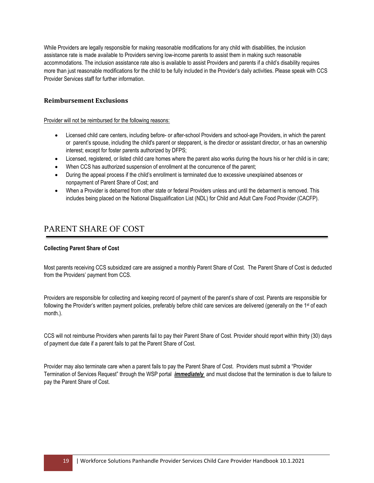While Providers are legally responsible for making reasonable modifications for any child with disabilities, the inclusion assistance rate is made available to Providers serving low-income parents to assist them in making such reasonable accommodations. The inclusion assistance rate also is available to assist Providers and parents if a child's disability requires more than just reasonable modifications for the child to be fully included in the Provider's daily activities. Please speak with CCS Provider Services staff for further information.

# <span id="page-19-0"></span>**Reimbursement Exclusions**

#### Provider will not be reimbursed for the following reasons:

- Licensed child care centers, including before- or after-school Providers and school-age Providers, in which the parent or parent's spouse, including the child's parent or stepparent, is the director or assistant director, or has an ownership interest; except for foster parents authorized by DFPS;
- Licensed, registered, or listed child care homes where the parent also works during the hours his or her child is in care;
- When CCS has authorized suspension of enrollment at the concurrence of the parent;
- During the appeal process if the child's enrollment is terminated due to excessive unexplained absences or nonpayment of Parent Share of Cost; and
- When a Provider is debarred from other state or federal Providers unless and until the debarment is removed. This includes being placed on the National Disqualification List (NDL) for Child and Adult Care Food Provider (CACFP).

# <span id="page-19-1"></span>PARENT SHARE OF COST

## <span id="page-19-2"></span>**Collecting Parent Share of Cost**

Most parents receiving CCS subsidized care are assigned a monthly Parent Share of Cost. The Parent Share of Cost is deducted from the Providers' payment from CCS.

Providers are responsible for collecting and keeping record of payment of the parent's share of cost. Parents are responsible for following the Provider's written payment policies, preferably before child care services are delivered (generally on the 1<sup>st</sup> of each month.).

CCS will not reimburse Providers when parents fail to pay their Parent Share of Cost. Provider should report within thirty (30) days of payment due date if a parent fails to pat the Parent Share of Cost.

Provider may also terminate care when a parent fails to pay the Parent Share of Cost. Providers must submit a "Provider Termination of Services Request" through the WSP portal *immediately* and must disclose that the termination is due to failure to pay the Parent Share of Cost.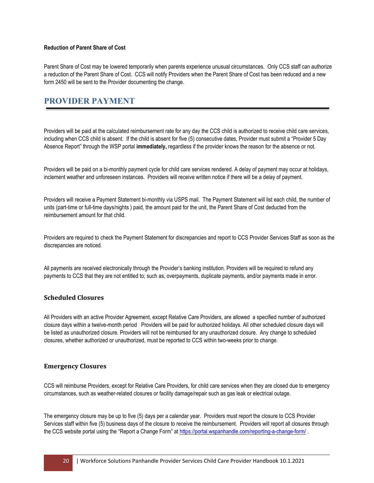#### <span id="page-20-0"></span>**Reduction of Parent Share of Cost**

Parent Share of Cost may be lowered temporarily when parents experience unusual circumstances. Only CCS staff can authorize a reduction of the Parent Share of Cost. CCS will notify Providers when the Parent Share of Cost has been reduced and a new form 2450 will be sent to the Provider documenting the change.

# <span id="page-20-1"></span>**PROVIDER PAYMENT**

Providers will be paid at the calculated reimbursement rate for any day the CCS child is authorized to receive child care services, including when CCS child is absent. If the child is absent for five (5) consecutive dates, Provider must submit a "Provider 5 Day Absence Report" through the WSP portal **immediately,** regardless if the provider knows the reason for the absence or not.

Providers will be paid on a bi-monthly payment cycle for child care services rendered. A delay of payment may occur at holidays, inclement weather and unforeseen instances. Providers will receive written notice if there will be a delay of payment.

Providers will receive a Payment Statement bi-monthly via USPS mail. The Payment Statement will list each child, the number of units (part-time or full-time days/nights ) paid, the amount paid for the unit, the Parent Share of Cost deducted from the reimbursement amount for that child.

Providers are required to check the Payment Statement for discrepancies and report to CCS Provider Services Staff as soon as the discrepancies are noticed.

All payments are received electronically through the Provider's banking institution. Providers will be required to refund any payments to CCS that they are not entitled to; such as, overpayments, duplicate payments, and/or payments made in error.

# <span id="page-20-2"></span>**Scheduled Closures**

All Providers with an active Provider Agreement, except Relative Care Providers, are allowed a specified number of authorized closure days within a twelve-month period Providers will be paid for authorized holidays. All other scheduled closure days will be listed as unauthorized closure. Providers will not be reimbursed for any unauthorized closure. Any change to scheduled closures, whether authorized or unauthorized, must be reported to CCS within two-weeks prior to change.

## <span id="page-20-3"></span>**Emergency Closures**

CCS will reimburse Providers, except for Relative Care Providers, for child care services when they are closed due to emergency circumstances, such as weather-related closures or facility damage/repair such as gas leak or electrical outage.

The emergency closure may be up to five (5) days per a calendar year. Providers must report the closure to CCS Provider Services staff within five (5) business days of the closure to receive the reimbursement. Providers will report all closures through the CCS website portal using the "Report a Change Form" a[t https://portal.wspanhandle.com/reporting-a-change-form/](https://portal.wspanhandle.com/reporting-a-change-form/) .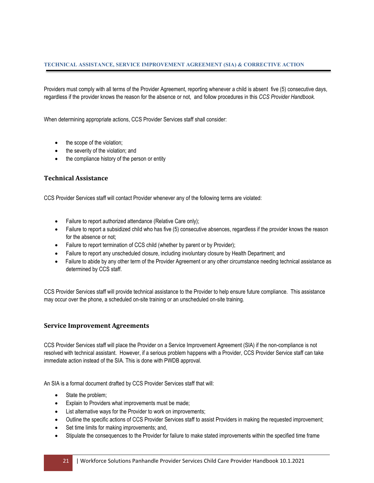<span id="page-21-0"></span>Providers must comply with all terms of the Provider Agreement, reporting whenever a child is absent five (5) consecutive days, regardless if the provider knows the reason for the absence or not, and follow procedures in this *CCS Provider Handbook.* 

When determining appropriate actions, CCS Provider Services staff shall consider:

- the scope of the violation;
- the severity of the violation; and
- the compliance history of the person or entity

## <span id="page-21-1"></span>**Technical Assistance**

CCS Provider Services staff will contact Provider whenever any of the following terms are violated:

- Failure to report authorized attendance (Relative Care only);
- Failure to report a subsidized child who has five (5) consecutive absences, regardless if the provider knows the reason for the absence or not;
- Failure to report termination of CCS child (whether by parent or by Provider);
- Failure to report any unscheduled closure, including involuntary closure by Health Department; and
- Failure to abide by any other term of the Provider Agreement or any other circumstance needing technical assistance as determined by CCS staff.

CCS Provider Services staff will provide technical assistance to the Provider to help ensure future compliance. This assistance may occur over the phone, a scheduled on-site training or an unscheduled on-site training.

#### <span id="page-21-2"></span>**Service Improvement Agreements**

CCS Provider Services staff will place the Provider on a Service Improvement Agreement (SIA) if the non-compliance is not resolved with technical assistant. However, if a serious problem happens with a Provider, CCS Provider Service staff can take immediate action instead of the SIA. This is done with PWDB approval.

An SIA is a formal document drafted by CCS Provider Services staff that will:

- State the problem;
- Explain to Providers what improvements must be made;
- List alternative ways for the Provider to work on improvements;
- Outline the specific actions of CCS Provider Services staff to assist Providers in making the requested improvement;
- Set time limits for making improvements; and,
- Stipulate the consequences to the Provider for failure to make stated improvements within the specified time frame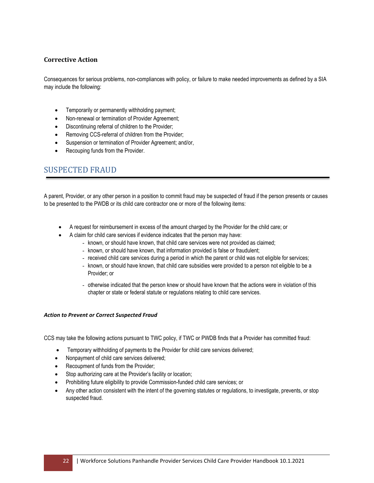# <span id="page-22-0"></span>**Corrective Action**

Consequences for serious problems, non-compliances with policy, or failure to make needed improvements as defined by a SIA may include the following:

- Temporarily or permanently withholding payment;
- Non-renewal or termination of Provider Agreement;
- Discontinuing referral of children to the Provider;
- Removing CCS-referral of children from the Provider;
- Suspension or termination of Provider Agreement; and/or,
- Recouping funds from the Provider.

# <span id="page-22-1"></span>SUSPECTED FRAUD

A parent, Provider, or any other person in a position to commit fraud may be suspected of fraud if the person presents or causes to be presented to the PWDB or its child care contractor one or more of the following items:

- A request for reimbursement in excess of the amount charged by the Provider for the child care; or
- A claim for child care services if evidence indicates that the person may have:
	- known, or should have known, that child care services were not provided as claimed;
	- known, or should have known, that information provided is false or fraudulent;
	- received child care services during a period in which the parent or child was not eligible for services;
	- known, or should have known, that child care subsidies were provided to a person not eligible to be a Provider; or
	- otherwise indicated that the person knew or should have known that the actions were in violation of this chapter or state or federal statute or regulations relating to child care services.

#### <span id="page-22-2"></span>*Action to Prevent or Correct Suspected Fraud*

CCS may take the following actions pursuant to TWC policy, if TWC or PWDB finds that a Provider has committed fraud:

- Temporary withholding of payments to the Provider for child care services delivered;
- Nonpayment of child care services delivered;
- Recoupment of funds from the Provider;
- Stop authorizing care at the Provider's facility or location;
- Prohibiting future eligibility to provide Commission-funded child care services; or
- Any other action consistent with the intent of the governing statutes or regulations, to investigate, prevents, or stop suspected fraud.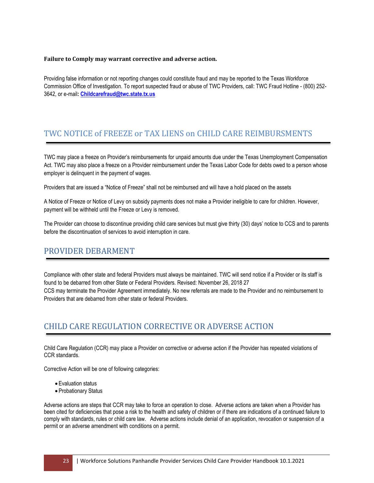#### **Failure to Comply may warrant corrective and adverse action.**

Providing false information or not reporting changes could constitute fraud and may be reported to the Texas Workforce Commission Office of Investigation. To report suspected fraud or abuse of TWC Providers, call: TWC Fraud Hotline - (800) 252- 3642, or e-mail**[: Childcarefraud@twc.state.tx.us](mailto:Childcarefraud@twc.state.tx.us)**

# TWC NOTICE of FREEZE or TAX LIENS on CHILD CARE REIMBURSMENTS

TWC may place a freeze on Provider's reimbursements for unpaid amounts due under the Texas Unemployment Compensation Act. TWC may also place a freeze on a Provider reimbursement under the Texas Labor Code for debts owed to a person whose employer is delinquent in the payment of wages.

Providers that are issued a "Notice of Freeze" shall not be reimbursed and will have a hold placed on the assets

A Notice of Freeze or Notice of Levy on subsidy payments does not make a Provider ineligible to care for children. However, payment will be withheld until the Freeze or Levy is removed.

The Provider can choose to discontinue providing child care services but must give thirty (30) days' notice to CCS and to parents before the discontinuation of services to avoid interruption in care.

# <span id="page-23-0"></span>PROVIDER DEBARMENT

Compliance with other state and federal Providers must always be maintained. TWC will send notice if a Provider or its staff is found to be debarred from other State or Federal Providers. Revised: November 26, 2018 27 CCS may terminate the Provider Agreement immediately. No new referrals are made to the Provider and no reimbursement to Providers that are debarred from other state or federal Providers.

# <span id="page-23-1"></span>CHILD CARE REGULATION CORRECTIVE OR ADVERSE ACTION

Child Care Regulation (CCR) may place a Provider on corrective or adverse action if the Provider has repeated violations of CCR standards.

Corrective Action will be one of following categories:

- Evaluation status
- Probationary Status

Adverse actions are steps that CCR may take to force an operation to close. Adverse actions are taken when a Provider has been cited for deficiencies that pose a risk to the health and safety of children or if there are indications of a continued failure to comply with standards, rules or child care law. Adverse actions include denial of an application, revocation or suspension of a permit or an adverse amendment with conditions on a permit.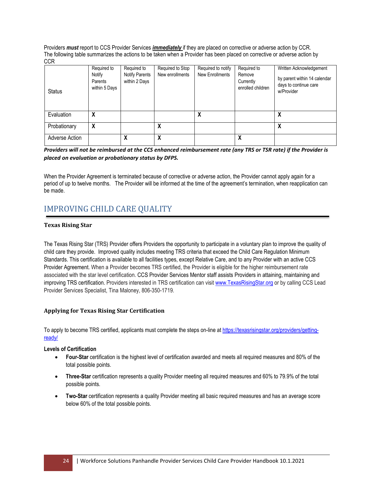Providers *must* report to CCS Provider Services *immediately* if they are placed on corrective or adverse action by CCR. The following table summarizes the actions to be taken when a Provider has been placed on corrective or adverse action by **CCR** 

| <b>Status</b>  | Required to<br>Notify<br>Parents<br>within 5 Days | Required to<br>Notify Parents<br>within 2 Days | Required to Stop<br>New enrollments | Required to notify<br>New Enrollments | Required to<br>Remove<br>Currently<br>enrolled children | Written Acknowledgement<br>by parent within 14 calendar<br>days to continue care<br>w/Provider |
|----------------|---------------------------------------------------|------------------------------------------------|-------------------------------------|---------------------------------------|---------------------------------------------------------|------------------------------------------------------------------------------------------------|
| Evaluation     | χ                                                 |                                                |                                     | X                                     |                                                         | л                                                                                              |
| Probationary   | χ                                                 |                                                | χ                                   |                                       |                                                         | χ                                                                                              |
| Adverse Action |                                                   |                                                | χ                                   |                                       | χ                                                       |                                                                                                |

*Providers will not be reimbursed at the CCS enhanced reimbursement rate (any TRS or TSR rate) if the Provider is placed on evaluation or probationary status by DFPS.*

When the Provider Agreement is terminated because of corrective or adverse action, the Provider cannot apply again for a period of up to twelve months. The Provider will be informed at the time of the agreement's termination, when reapplication can be made.

# <span id="page-24-0"></span>IMPROVING CHILD CARE QUALITY

## <span id="page-24-1"></span>**Texas Rising Star**

The Texas Rising Star (TRS) Provider offers Providers the opportunity to participate in a voluntary plan to improve the quality of child care they provide. Improved quality includes meeting TRS criteria that exceed the Child Care Regulation Minimum Standards. This certification is available to all facilities types, except Relative Care, and to any Provider with an active CCS Provider Agreement. When a Provider becomes TRS certified, the Provider is eligible for the higher reimbursement rate associated with the star level certification. CCS Provider Services Mentor staff assists Providers in attaining, maintaining and improving TRS certification. Providers interested in TRS certification can visit [www.TexasRisingStar.org](http://www.texasrisingstar.org/) or by calling CCS Lead Provider Services Specialist, Tina Maloney, 806-350-1719.

## <span id="page-24-2"></span>**Applying for Texas Rising Star Certification**

To apply to become TRS certified, applicants must complete the steps on-line a[t https://texasrisingstar.org/providers/getting](https://texasrisingstar.org/providers/getting-ready/)[ready/](https://texasrisingstar.org/providers/getting-ready/)

## <span id="page-24-3"></span>**Levels of Certification**

- **Four-Star** certification is the highest level of certification awarded and meets all required measures and 80% of the total possible points.
- **Three-Star** certification represents a quality Provider meeting all required measures and 60% to 79.9% of the total possible points.
- **Two-Star** certification represents a quality Provider meeting all basic required measures and has an average score below 60% of the total possible points.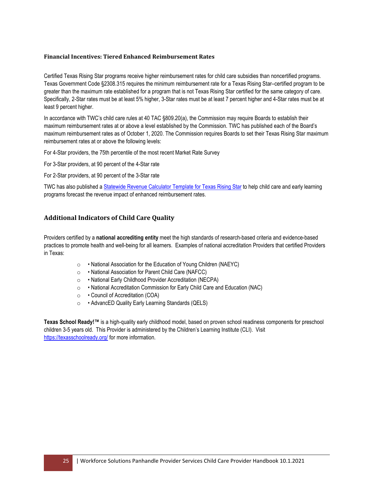#### <span id="page-25-0"></span>**Financial Incentives: Tiered Enhanced Reimbursement Rates**

Certified Texas Rising Star programs receive higher reimbursement rates for child care subsidies than noncertified programs. Texas Government Code §2308.315 requires the minimum reimbursement rate for a Texas Rising Star–certified program to be greater than the maximum rate established for a program that is not Texas Rising Star certified for the same category of care. Specifically, 2-Star rates must be at least 5% higher, 3-Star rates must be at least 7 percent higher and 4-Star rates must be at least 9 percent higher.

In accordance with TWC's child care rules at 40 TAC §809.20(a), the Commission may require Boards to establish their maximum reimbursement rates at or above a level established by the Commission. TWC has published each of the Board's maximum reimbursement rates as of October 1, 2020. The Commission requires Boards to set their Texas Rising Star maximum reimbursement rates at or above the following levels:

For 4-Star providers, the 75th percentile of the most recent Market Rate Survey

For 3-Star providers, at 90 percent of the 4-Star rate

For 2-Star providers, at 90 percent of the 3-Star rate

TWC has also published a [Statewide Revenue Calculator Template for Texas Rising Star](https://www.twc.texas.gov/files/partners/statewide-revenue-calculator-for-trs-accessible-twc.xlsx) to help child care and early learning programs forecast the revenue impact of enhanced reimbursement rates.

# <span id="page-25-1"></span>**Additional Indicators of Child Care Quality**

Providers certified by a **national accrediting entity** meet the high standards of research-based criteria and evidence-based practices to promote health and well-being for all learners. Examples of national accreditation Providers that certified Providers in Texas:

- o National Association for the Education of Young Children (NAEYC)
- o National Association for Parent Child Care (NAFCC)
- o National Early Childhood Provider Accreditation (NECPA)
- o National Accreditation Commission for Early Child Care and Education (NAC)
- o Council of Accreditation (COA)
- o AdvancED Quality Early Learning Standards (QELS)

**Texas School Ready!™** is a high-quality early childhood model, based on proven school readiness components for preschool children 3-5 years old. This Provider is administered by the Children's Learning Institute (CLI). Visit <https://texasschoolready.org/> for more information.